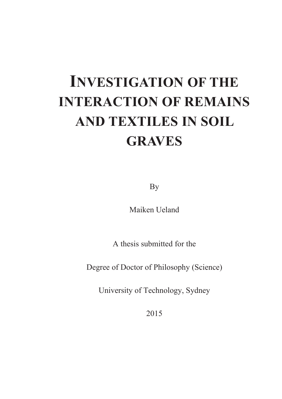# **INVESTIGATION OF THE INTERACTION OF REMAINS AND TEXTILES IN SOIL GRAVES**

By

Maiken Ueland

A thesis submitted for the

Degree of Doctor of Philosophy (Science)

University of Technology, Sydney

2015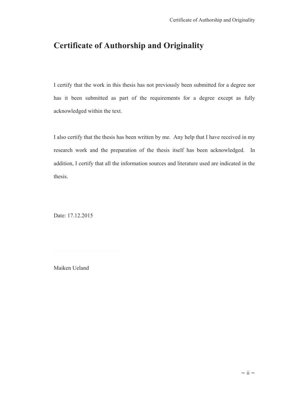### **Certificate of Authorship and Originality**

I certify that the work in this thesis has not previously been submitted for a degree nor has it been submitted as part of the requirements for a degree except as fully acknowledged within the text.

I also certify that the thesis has been written by me. Any help that I have received in my research work and the preparation of the thesis itself has been acknowledged. In addition, I certify that all the information sources and literature used are indicated in the thesis.

Date: 17.12.2015

Maiken Ueland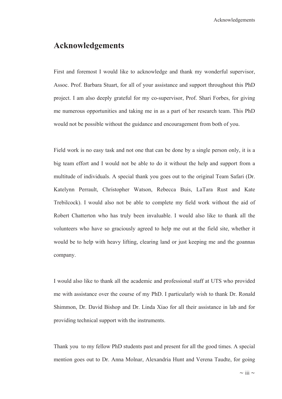### **Acknowledgements**

First and foremost I would like to acknowledge and thank my wonderful supervisor, Assoc. Prof. Barbara Stuart, for all of your assistance and support throughout this PhD project. I am also deeply grateful for my co-supervisor, Prof. Shari Forbes, for giving me numerous opportunities and taking me in as a part of her research team. This PhD would not be possible without the guidance and encouragement from both of you.

Field work is no easy task and not one that can be done by a single person only, it is a big team effort and I would not be able to do it without the help and support from a multitude of individuals. A special thank you goes out to the original Team Safari (Dr. Katelynn Perrault, Christopher Watson, Rebecca Buis, LaTara Rust and Kate Trebilcock). I would also not be able to complete my field work without the aid of Robert Chatterton who has truly been invaluable. I would also like to thank all the volunteers who have so graciously agreed to help me out at the field site, whether it would be to help with heavy lifting, clearing land or just keeping me and the goannas company.

I would also like to thank all the academic and professional staff at UTS who provided me with assistance over the course of my PhD. I particularly wish to thank Dr. Ronald Shimmon, Dr. David Bishop and Dr. Linda Xiao for all their assistance in lab and for providing technical support with the instruments.

Thank you to my fellow PhD students past and present for all the good times. A special mention goes out to Dr. Anna Molnar, Alexandria Hunt and Verena Taudte, for going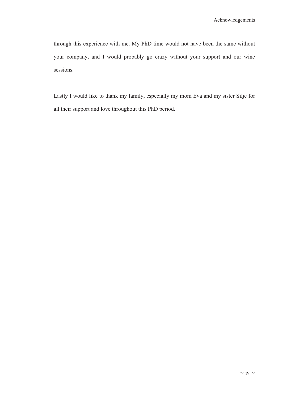through this experience with me. My PhD time would not have been the same without your company, and I would probably go crazy without your support and our wine sessions.

Lastly I would like to thank my family, especially my mom Eva and my sister Silje for all their support and love throughout this PhD period.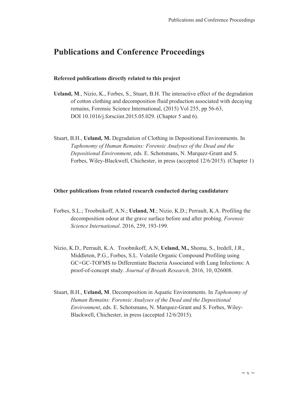### **Publications and Conference Proceedings**

#### **Refereed publications directly related to this project**

- **Ueland, M**., Nizio, K., Forbes, S., Stuart, B.H. The interactive effect of the degradation of cotton clothing and decomposition fluid production associated with decaying remains, Forensic Science International, (2015) Vol 255, pp 56-63, DOI 10.1016/j.forsciint.2015.05.029. (Chapter 5 and 6).
- Stuart, B.H., **Ueland, M.** Degradation of Clothing in Depositional Environments. In *Taphonomy of Human Remains: Forensic Analyses of the Dead and the Depositional Environment*, eds. E. Schotsmans, N. Marquez-Grant and S. Forbes, Wiley-Blackwell, Chichester, in press (accepted 12/6/2015). (Chapter 1)

#### **Other publications from related research conducted during candidature**

- Forbes, S.L.; Troobnikoff, A.N.; **Ueland, M**.; Nizio, K.D.; Perrault, K.A. Profiling the decomposition odour at the grave surface before and after probing. *Forensic Science International*. 2016, 259, 193-199.
- Nizio, K.D., Perrault, K.A. Troobnikoff, A.N, **Ueland, M.,** Shoma, S., Iredell, J.R., Middleton, P.G., Forbes, S.L. Volatile Organic Compound Profiling using GC×GC-TOFMS to Differentiate Bacteria Associated with Lung Infections: A proof-of-concept study. *Journal of Breath Research,* 2016, 10, 026008.
- Stuart, B.H., **Ueland, M**. Decomposition in Aquatic Environments. In *Taphonomy of Human Remains: Forensic Analyses of the Dead and the Depositional Environment*, eds. E. Schotsmans, N. Marquez-Grant and S. Forbes, Wiley-Blackwell, Chichester, in press (accepted 12/6/2015).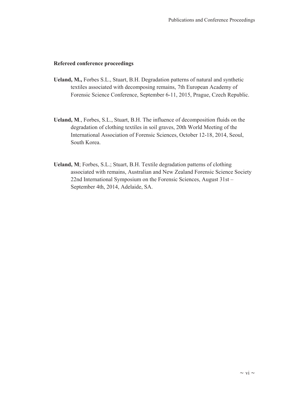#### **Refereed conference proceedings**

- **Ueland, M.,** Forbes S.L., Stuart, B.H. Degradation patterns of natural and synthetic textiles associated with decomposing remains, 7th European Academy of Forensic Science Conference, September 6-11, 2015, Prague, Czech Republic.
- **Ueland, M**., Forbes, S.L., Stuart, B.H. The influence of decomposition fluids on the degradation of clothing textiles in soil graves, 20th World Meeting of the International Association of Forensic Sciences, October 12-18, 2014, Seoul, South Korea.
- **Ueland, M**; Forbes, S.L.; Stuart, B.H. Textile degradation patterns of clothing associated with remains, Australian and New Zealand Forensic Science Society 22nd International Symposium on the Forensic Sciences, August 31st – September 4th, 2014, Adelaide, SA.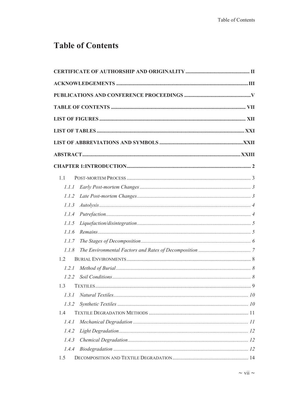# **Table of Contents**

| 11    |  |
|-------|--|
| 1.1.1 |  |
| 1.1.2 |  |
| 1.1.3 |  |
| 1.1.4 |  |
| 1.1.5 |  |
| 1.1.6 |  |
| 1.1.7 |  |
| 1.1.8 |  |
| 12    |  |
| 1.2.1 |  |
| 1.2.2 |  |
| 1.3   |  |
| 1.3.1 |  |
| 1.3.2 |  |
| 1.4   |  |
| 1.4.1 |  |
| 1.4.2 |  |
| 1.4.3 |  |
| 1.4.4 |  |
| 1.5   |  |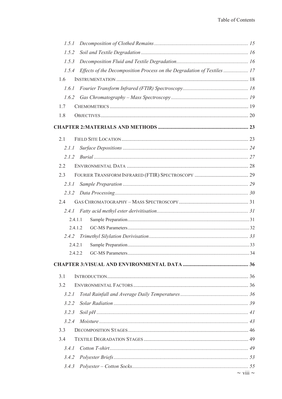| 1.5.1                                                                         |                    |
|-------------------------------------------------------------------------------|--------------------|
| 1.5.2                                                                         |                    |
| 1.5.3                                                                         |                    |
| 1.5.4 Effects of the Decomposition Process on the Degradation of Textiles  17 |                    |
| 1.6                                                                           |                    |
| 1.6.1                                                                         |                    |
|                                                                               |                    |
| 1.7                                                                           |                    |
| 1.8                                                                           |                    |
|                                                                               |                    |
| 2.1                                                                           |                    |
| 2.I.I                                                                         |                    |
| 2.1.2                                                                         |                    |
| 2.2                                                                           |                    |
| 2.3                                                                           |                    |
| 2.3.1                                                                         |                    |
|                                                                               |                    |
| 2.4                                                                           |                    |
|                                                                               |                    |
| 2.4.1.1                                                                       |                    |
| 2.4.1.2                                                                       |                    |
|                                                                               |                    |
| 2.4.2.1                                                                       |                    |
|                                                                               |                    |
|                                                                               |                    |
| 3.1                                                                           |                    |
| 3.2                                                                           |                    |
| 3.2.1                                                                         |                    |
| 3.2.2                                                                         |                    |
| 3.2.3                                                                         |                    |
| 3.2.4                                                                         |                    |
| 3.3                                                                           |                    |
| 3.4                                                                           |                    |
| 3.4.1                                                                         |                    |
| 3.4.2                                                                         |                    |
| 3.4.3                                                                         |                    |
|                                                                               | $\sim$ viii $\sim$ |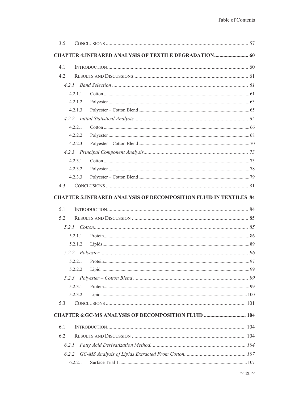|            | <b>CHAPTER 4:INFRARED ANALYSIS OF TEXTILE DEGRADATION 60</b>              |    |
|------------|---------------------------------------------------------------------------|----|
| 4.1        |                                                                           |    |
| 4.2        |                                                                           |    |
|            |                                                                           |    |
| 4.2.1.1    |                                                                           |    |
| 4.2.1.2    |                                                                           |    |
| 4.2.1.3    |                                                                           |    |
|            |                                                                           |    |
| 4.2.2.1    |                                                                           |    |
| 4.2.2.2    |                                                                           |    |
| 4.2.2.3    |                                                                           |    |
|            |                                                                           |    |
| 4.2.3.1    |                                                                           |    |
| 4.2.3.2    |                                                                           |    |
| 4.2.3.3    |                                                                           |    |
| 4.3        |                                                                           |    |
|            | <b>CHAPTER 5: INFRARED ANALYSIS OF DECOMPOSITION FLUID IN TEXTILES 84</b> |    |
| 5.1<br>5.2 |                                                                           |    |
|            |                                                                           |    |
| 5.2.1.1    |                                                                           |    |
| 5.2.1.2    |                                                                           |    |
|            |                                                                           | 96 |
| 5.2.2.1    |                                                                           |    |
| 5.2.2.2    |                                                                           |    |
|            |                                                                           |    |
| 5.2.3.1    |                                                                           |    |
| 5.2.3.2    |                                                                           |    |
| 5.3        |                                                                           |    |
|            | <b>CHAPTER 6:GC-MS ANALYSIS OF DECOMPOSITION FLUID  104</b>               |    |
| 6.1        |                                                                           |    |
| 6.2        |                                                                           |    |
| 6.2.1      |                                                                           |    |
|            |                                                                           |    |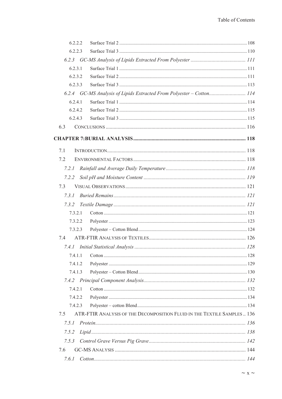| 6.2.2.2 |                                                                          |  |
|---------|--------------------------------------------------------------------------|--|
| 6.2.2.3 |                                                                          |  |
|         |                                                                          |  |
| 6.2.3.1 |                                                                          |  |
| 6.2.3.2 |                                                                          |  |
| 6.2.3.3 |                                                                          |  |
|         | 6.2.4 GC-MS Analysis of Lipids Extracted From Polyester - Cotton 114     |  |
| 6.2.4.1 |                                                                          |  |
| 6.2.4.2 |                                                                          |  |
| 6.2.4.3 |                                                                          |  |
| 6.3     |                                                                          |  |
|         |                                                                          |  |
| 7.1     |                                                                          |  |
| 7.2     |                                                                          |  |
| 7.2.1   |                                                                          |  |
| 7.2.2   |                                                                          |  |
| 7.3     |                                                                          |  |
| 7.3.1   |                                                                          |  |
| 7.3.2   |                                                                          |  |
| 7.3.2.1 |                                                                          |  |
| 7.3.2.2 |                                                                          |  |
| 7.3.2.3 |                                                                          |  |
| 7.4     |                                                                          |  |
|         |                                                                          |  |
| 7.4.1.1 |                                                                          |  |
| 7.4.1.2 |                                                                          |  |
| 7.4.1.3 |                                                                          |  |
|         |                                                                          |  |
| 7.4.2.1 |                                                                          |  |
| 7.4.2.2 |                                                                          |  |
| 7.4.2.3 |                                                                          |  |
| 7.5     | ATR-FTIR ANALYSIS OF THE DECOMPOSITION FLUID IN THE TEXTILE SAMPLES  136 |  |
| 7.5.1   |                                                                          |  |
| 7.5.2   |                                                                          |  |
| 7.5.3   |                                                                          |  |
| 7.6     |                                                                          |  |
| 7.6.1   |                                                                          |  |
|         |                                                                          |  |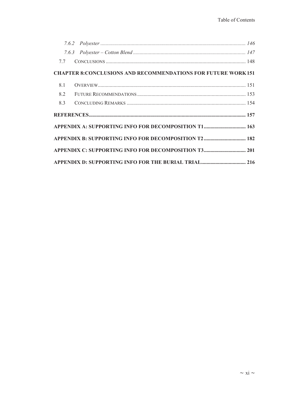|     | 7.7 |                                                                      |  |
|-----|-----|----------------------------------------------------------------------|--|
|     |     | <b>CHAPTER 8: CONCLUSIONS AND RECOMMENDATIONS FOR FUTURE WORK151</b> |  |
| 8.1 |     |                                                                      |  |
| 8.2 |     |                                                                      |  |
| 8.3 |     |                                                                      |  |
|     |     |                                                                      |  |
|     |     | APPENDIX A: SUPPORTING INFO FOR DECOMPOSITION T1 163                 |  |
|     |     |                                                                      |  |
|     |     |                                                                      |  |
|     |     |                                                                      |  |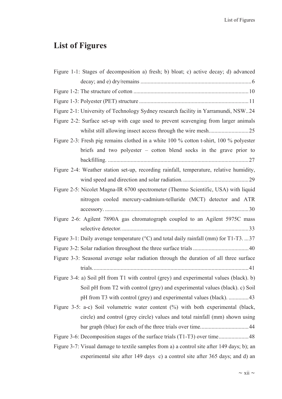# **List of Figures**

| Figure 1-1: Stages of decomposition a) fresh; b) bloat; c) active decay; d) advanced       |
|--------------------------------------------------------------------------------------------|
|                                                                                            |
|                                                                                            |
|                                                                                            |
| Figure 2-1: University of Technology Sydney research facility in Yarramundi, NSW24         |
| Figure 2-2: Surface set-up with cage used to prevent scavenging from larger animals        |
|                                                                                            |
| Figure 2-3: Fresh pig remains clothed in a white 100 % cotton t-shirt, 100 % polyester     |
| briefs and two polyester – cotton blend socks in the grave prior to                        |
|                                                                                            |
| Figure 2-4: Weather station set-up, recording rainfall, temperature, relative humidity,    |
|                                                                                            |
| Figure 2-5: Nicolet Magna-IR 6700 spectrometer (Thermo Scientific, USA) with liquid        |
| nitrogen cooled mercury-cadmium-telluride (MCT) detector and ATR                           |
|                                                                                            |
| Figure 2-6: Agilent 7890A gas chromatograph coupled to an Agilent 5975C mass               |
|                                                                                            |
| Figure 3-1: Daily average temperature (°C) and total daily rainfall (mm) for T1-T3.  37    |
|                                                                                            |
| Figure 3-3: Seasonal average solar radiation through the duration of all three surface     |
|                                                                                            |
| Figure 3-4: a) Soil pH from T1 with control (grey) and experimental values (black). b)     |
| Soil pH from T2 with control (grey) and experimental values (black). c) Soil               |
| pH from T3 with control (grey) and experimental values (black). 43                         |
| Figure 3-5: a-c) Soil volumetric water content (%) with both experimental (black,          |
| circle) and control (grey circle) values and total rainfall (mm) shown using               |
|                                                                                            |
|                                                                                            |
| Figure 3-7: Visual damage to textile samples from a) a control site after 149 days; b); an |
| experimental site after 149 days c) a control site after 365 days; and d) an               |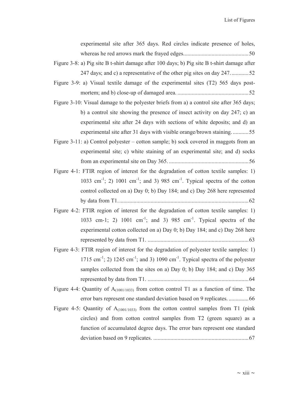| experimental site after 365 days. Red circles indicate presence of holes,                                          |
|--------------------------------------------------------------------------------------------------------------------|
|                                                                                                                    |
| Figure 3-8: a) Pig site B t-shirt damage after 100 days; b) Pig site B t-shirt damage after                        |
| 247 days; and c) a representative of the other pig sites on day 24752                                              |
| Figure 3-9: a) Visual textile damage of the experimental sites (T2) 565 days post-                                 |
|                                                                                                                    |
| Figure 3-10: Visual damage to the polyester briefs from a) a control site after 365 days;                          |
| b) a control site showing the presence of insect activity on day 247; c) an                                        |
| experimental site after 24 days with sections of white deposits; and d) an                                         |
| experimental site after 31 days with visible orange/brown staining55                                               |
| Figure 3-11: a) Control polyester – cotton sample; b) sock covered in maggots from an                              |
| experimental site; c) white staining of an experimental site; and d) socks                                         |
|                                                                                                                    |
| Figure 4-1: FTIR region of interest for the degradation of cotton textile samples: 1)                              |
| 1033 cm <sup>-1</sup> ; 2) 1001 cm <sup>-1</sup> ; and 3) 985 cm <sup>-1</sup> . Typical spectra of the cotton     |
| control collected on a) Day 0; b) Day 184; and c) Day 268 here represented                                         |
|                                                                                                                    |
| Figure 4-2: FTIR region of interest for the degradation of cotton textile samples: 1)                              |
| 1033 cm-1; 2) 1001 cm <sup>-1</sup> ; and 3) 985 cm <sup>-1</sup> . Typical spectra of the                         |
| experimental cotton collected on a) Day 0; b) Day 184; and c) Day 268 here                                         |
|                                                                                                                    |
| Figure 4-3: FTIR region of interest for the degradation of polyester textile samples: 1)                           |
| 1715 cm <sup>-1</sup> ; 2) 1245 cm <sup>-1</sup> ; and 3) 1090 cm <sup>-1</sup> . Typical spectra of the polyester |
| samples collected from the sites on a) Day 0; b) Day 184; and c) Day 365                                           |
|                                                                                                                    |
| Figure 4-4: Quantity of $A_{(1001/1033)}$ from cotton control T1 as a function of time. The                        |
|                                                                                                                    |
| Figure 4-5: Quantity of $A_{(1001/1033)}$ from the cotton control samples from T1 (pink                            |
| circles) and from cotton control samples from T2 (green square) as a                                               |
| function of accumulated degree days. The error bars represent one standard                                         |
|                                                                                                                    |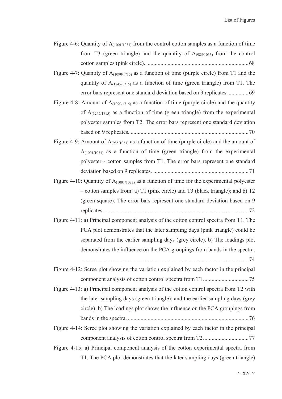- Figure 4-6: Quantity of  $A_{(1001/1033)}$  from the control cotton samples as a function of time from T3 (green triangle) and the quantity of  $A_{(985/1033)}$  from the control cotton samples (pink circle). ........................................................................ 68
- Figure 4-7: Quantity of  $A_{(1090/1715)}$  as a function of time (purple circle) from T1 and the quantity of  $A_{(1245/1715)}$  as a function of time (green triangle) from T1. The error bars represent one standard deviation based on 9 replicates. .............. 69
- Figure 4-8: Amount of  $A_{(1090/1715)}$  as a function of time (purple circle) and the quantity of  $A_{(1245/1715)}$  as a function of time (green triangle) from the experimental polyester samples from T2. The error bars represent one standard deviation based on 9 replicates. ................................................................................... 70
- Figure 4-9: Amount of  $A_{(985/1033)}$  as a function of time (purple circle) and the amount of  $A_{(1001/1033)}$  as a function of time (green triangle) from the experimental polyester - cotton samples from T1. The error bars represent one standard deviation based on 9 replicates. ................................................................... 71
- Figure 4-10: Quantity of  $A_{(1001/1033)}$  as a function of time for the experimental polyester – cotton samples from: a) T1 (pink circle) and T3 (black triangle); and b) T2 (green square). The error bars represent one standard deviation based on 9 replicates. ..................................................................................................... 72
- Figure 4-11: a) Principal component analysis of the cotton control spectra from T1. The PCA plot demonstrates that the later sampling days (pink triangle) could be separated from the earlier sampling days (grey circle). b) The loadings plot demonstrates the influence on the PCA groupings from bands in the spectra.

...................................................................................................................... 74

- Figure 4-12: Scree plot showing the variation explained by each factor in the principal component analysis of cotton control spectra from T1. ............................... 75
- Figure 4-13: a) Principal component analysis of the cotton control spectra from T2 with the later sampling days (green triangle); and the earlier sampling days (grey circle). b) The loadings plot shows the influence on the PCA groupings from bands in the spectra. ..................................................................................... 76
- Figure 4-14: Scree plot showing the variation explained by each factor in the principal component analysis of cotton control spectra from T2. ............................... 77
- Figure 4-15: a) Principal component analysis of the cotton experimental spectra from T1. The PCA plot demonstrates that the later sampling days (green triangle)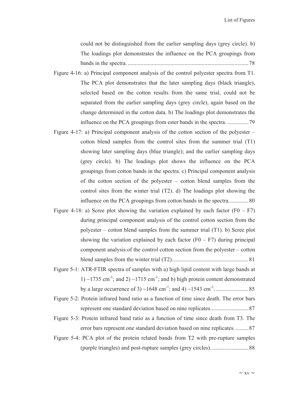could not be distinguished from the earlier sampling days (grey circle). b) The loadings plot demonstrates the influence on the PCA groupings from bands in the spectra. ..................................................................................... 78

- Figure 4-16: a) Principal component analysis of the control polyester spectra from T1. The PCA plot demonstrates that the later sampling days (black triangle), selected based on the cotton results from the same trial, could not be separated from the earlier sampling days (grey circle), again based on the change determined in the cotton data. b) The loadings plot demonstrates the influence on the PCA groupings from ester bands in the spectra. ............... 79
- Figure 4-17: a) Principal component analysis of the cotton section of the polyester cotton blend samples from the control sites from the summer trial (T1) showing later sampling days (blue triangle); and the earlier sampling days (grey circle). b) The loadings plot shows the influence on the PCA groupings from cotton bands in the spectra. c) Principal component analysis of the cotton section of the polyester – cotton blend samples from the control sites from the winter trial (T2). d) The loadings plot showing the influence on the PCA groupings from cotton bands in the spectra. ............. 80
- Figure 4-18: a) Scree plot showing the variation explained by each factor  $(F0 F7)$ during principal component analysis of the control cotton section from the polyester – cotton blend samples from the summer trial (T1). b) Scree plot showing the variation explained by each factor  $(F0 - F7)$  during principal component analysis of the control cotton section from the polyester – cotton blend samples from the winter trial (T2). ..................................................... 81
- Figure 5-1: ATR-FTIR spectra of samples with a) high lipid content with large bands at 1)  $\sim$ 1735 cm<sup>-1</sup>; and 2)  $\sim$ 1715 cm<sup>-1</sup>; and b) high protein content demonstrated by a large occurrence of 3) ~1648 cm-1; and 4) ~1543 cm-1. ....................... 85
- Figure 5-2: Protein infrared band ratio as a function of time since death. The error bars represent one standard deviation based on nine replicates. .......................... 87
- Figure 5-3: Protein infrared band ratio as a function of time since death from T3. The error bars represent one standard deviation based on nine replicates. ......... 87
- Figure 5-4: PCA plot of the protein related bands from T2 with pre-rupture samples (purple triangles) and post-rupture samples (grey circles). .......................... 88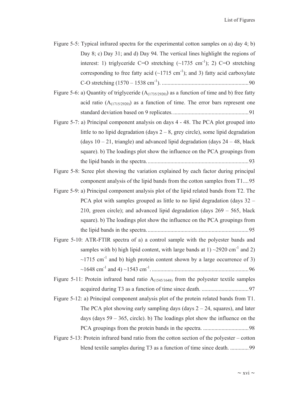Figure 5-5: Typical infrared spectra for the experimental cotton samples on a) day 4; b) Day 8; c) Day 31; and d) Day 94. The vertical lines highlight the regions of interest: 1) triglyceride C=O stretching  $(\sim 1735 \text{ cm}^{-1})$ ; 2) C=O stretching corresponding to free fatty acid  $(-1715 \text{ cm}^{-1})$ ; and 3) fatty acid carboxylate C-O stretching (1570 – 1538 cm-1). ............................................................. 90

Figure 5-6: a) Quantity of triglyceride  $(A<sub>(1735/2920)</sub>)$  as a function of time and b) free fatty acid ratio  $(A_{(1715/2920)})$  as a function of time. The error bars represent one standard deviation based on 9 replicates. ..................................................... 91

- Figure 5-7: a) Principal component analysis on days 4 48. The PCA plot grouped into little to no lipid degradation (days  $2 - 8$ , grey circle), some lipid degradation (days  $10 - 21$ , triangle) and advanced lipid degradation (days  $24 - 48$ , black square). b) The loadings plot show the influence on the PCA groupings from the lipid bands in the spectra. ....................................................................... 93
- Figure 5-8: Scree plot showing the variation explained by each factor during principal component analysis of the lipid bands from the cotton samples from T1.... 95
- Figure 5-9: a) Principal component analysis plot of the lipid related bands from T2. The PCA plot with samples grouped as little to no lipid degradation (days 32 – 210, green circle); and advanced lipid degradation (days  $269 - 565$ , black square). b) The loadings plot show the influence on the PCA groupings from the lipid bands in the spectra. ....................................................................... 95
- Figure 5-10: ATR-FTIR spectra of a) a control sample with the polyester bands and samples with b) high lipid content, with large bands at  $1)$  ~2920 cm<sup>-1</sup> and 2)  $\sim$ 1715 cm<sup>-1</sup> and b) high protein content shown by a large occurrence of 3) ~1648 cm-1 and 4) ~1543 cm-1. .................................................................... 96
- Figure 5-11: Protein infrared band ratio  $A_{(1545/1648)}$  from the polyester textile samples acquired during T3 as a function of time since death. ................................. 97
- Figure 5-12: a) Principal component analysis plot of the protein related bands from T1. The PCA plot showing early sampling days (days  $2 - 24$ , squares), and later days (days  $59 - 365$ , circle). b) The loadings plot show the influence on the PCA groupings from the protein bands in the spectra. ................................ 98
- Figure 5-13: Protein infrared band ratio from the cotton section of the polyester cotton blend textile samples during T3 as a function of time since death. ............. 99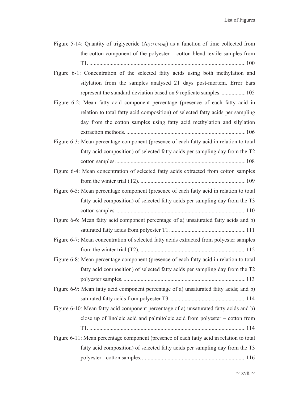| Figure 5-14: Quantity of triglyceride $(A(1735/2920))$ as a function of time collected from |
|---------------------------------------------------------------------------------------------|
| the cotton component of the polyester - cotton blend textile samples from                   |
|                                                                                             |
| Figure 6-1: Concentration of the selected fatty acids using both methylation and            |
| silylation from the samples analysed 21 days post-mortem. Error bars                        |
| represent the standard deviation based on 9 replicate samples 105                           |
| Figure 6-2: Mean fatty acid component percentage (presence of each fatty acid in            |
| relation to total fatty acid composition) of selected fatty acids per sampling              |
| day from the cotton samples using fatty acid methylation and silylation                     |
|                                                                                             |
| Figure 6-3: Mean percentage component (presence of each fatty acid in relation to total     |
| fatty acid composition) of selected fatty acids per sampling day from the T2                |
|                                                                                             |
| Figure 6-4: Mean concentration of selected fatty acids extracted from cotton samples        |
|                                                                                             |
| Figure 6-5: Mean percentage component (presence of each fatty acid in relation to total     |
| fatty acid composition) of selected fatty acids per sampling day from the T3                |
|                                                                                             |
| Figure 6-6: Mean fatty acid component percentage of a) unsaturated fatty acids and b)       |
|                                                                                             |
| Figure 6-7: Mean concentration of selected fatty acids extracted from polyester samples     |
|                                                                                             |
| Figure 6-8: Mean percentage component (presence of each fatty acid in relation to total     |
| fatty acid composition) of selected fatty acids per sampling day from the T2                |
|                                                                                             |
| Figure 6-9: Mean fatty acid component percentage of a) unsaturated fatty acids; and b)      |
|                                                                                             |
| Figure 6-10: Mean fatty acid component percentage of a) unsaturated fatty acids and b)      |
| close up of linoleic acid and palmitoleic acid from polyester – cotton from                 |
|                                                                                             |
| Figure 6-11: Mean percentage component (presence of each fatty acid in relation to total    |
| fatty acid composition) of selected fatty acids per sampling day from the T3                |
|                                                                                             |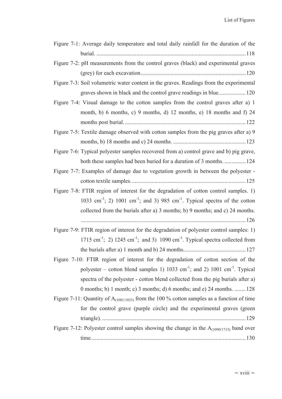| Figure 7-1: Average daily temperature and total daily rainfall for the duration of the                           |
|------------------------------------------------------------------------------------------------------------------|
|                                                                                                                  |
| Figure 7-2: pH measurements from the control graves (black) and experimental graves                              |
|                                                                                                                  |
| Figure 7-3: Soil volumetric water content in the graves. Readings from the experimental                          |
| graves shown in black and the control grave readings in blue 120                                                 |
| Figure 7-4: Visual damage to the cotton samples from the control graves after a) 1                               |
| month, b) 6 months, c) 9 months, d) 12 months, e) 18 months and f) 24                                            |
|                                                                                                                  |
| Figure 7-5: Textile damage observed with cotton samples from the pig graves after a) 9                           |
|                                                                                                                  |
| Figure 7-6: Typical polyester samples recovered from a) control grave and b) pig grave,                          |
| both these samples had been buried for a duration of 3 months124                                                 |
| Figure 7-7: Examples of damage due to vegetation growth in between the polyester -                               |
|                                                                                                                  |
| Figure 7-8: FTIR region of interest for the degradation of cotton control samples. 1)                            |
| 1033 cm <sup>-1</sup> ; 2) 1001 cm <sup>-1</sup> ; and 3) 985 cm <sup>-1</sup> . Typical spectra of the cotton   |
| collected from the burials after a) 3 months; b) 9 months; and c) 24 months.                                     |
|                                                                                                                  |
| Figure 7-9: FTIR region of interest for the degradation of polyester control samples: 1)                         |
| 1715 cm <sup>-1</sup> ; 2) 1245 cm <sup>-1</sup> ; and 3) 1090 cm <sup>-1</sup> . Typical spectra collected from |
|                                                                                                                  |
| Figure 7-10: FTIR region of interest for the degradation of cotton section of the                                |
| polyester – cotton blend samples 1) 1033 cm <sup>-1</sup> ; and 2) 1001 cm <sup>-1</sup> . Typical               |
| spectra of the polyester - cotton blend collected from the pig burials after a)                                  |
| 0 months; b) 1 month; c) 3 months; d) 6 months; and e) 24 months.  128                                           |
| Figure 7-11: Quantity of $A_{(1001/1033)}$ from the 100 % cotton samples as a function of time                   |
| for the control grave (purple circle) and the experimental graves (green                                         |
|                                                                                                                  |
| Figure 7-12: Polyester control samples showing the change in the $A_{(1090/1715)}$ band over                     |
|                                                                                                                  |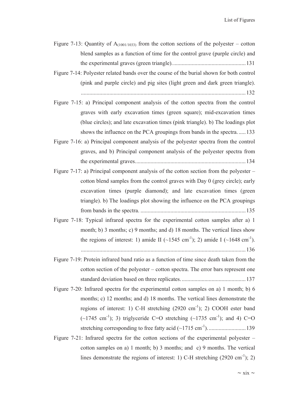- Figure 7-13: Quantity of  $A_{(1001/1033)}$  from the cotton sections of the polyester cotton blend samples as a function of time for the control grave (purple circle) and the experimental graves (green triangle). ................................................... 131
- Figure 7-14: Polyester related bands over the course of the burial shown for both control (pink and purple circle) and pig sites (light green and dark green triangle). .................................................................................................................... 132
- Figure 7-15: a) Principal component analysis of the cotton spectra from the control graves with early excavation times (green square); mid-excavation times (blue circles); and late excavation times (pink triangle). b) The loadings plot shows the influence on the PCA groupings from bands in the spectra. ..... 133
- Figure 7-16: a) Principal component analysis of the polyester spectra from the control graves, and b) Principal component analysis of the polyester spectra from the experimental graves. ............................................................................. 134
- Figure 7-17: a) Principal component analysis of the cotton section from the polyester cotton blend samples from the control graves with Day 0 (grey circle); early excavation times (purple diamond); and late excavation times (green triangle). b) The loadings plot showing the influence on the PCA groupings from bands in the spectra. .......................................................................... 135
- Figure 7-18: Typical infrared spectra for the experimental cotton samples after a) 1 month; b) 3 months; c) 9 months; and d) 18 months. The vertical lines show the regions of interest: 1) amide II ( $\sim$ 1545 cm<sup>-1</sup>); 2) amide I ( $\sim$ 1648 cm<sup>-1</sup>).

.................................................................................................................... 136

- Figure 7-19: Protein infrared band ratio as a function of time since death taken from the cotton section of the polyester – cotton spectra. The error bars represent one standard deviation based on three replicates. ............................................. 137
- Figure 7-20: Infrared spectra for the experimental cotton samples on a) 1 month; b) 6 months; c) 12 months; and d) 18 months. The vertical lines demonstrate the regions of interest: 1) C-H stretching  $(2920 \text{ cm}^{-1})$ ; 2) COOH ester band  $(-1745 \text{ cm}^{-1})$ ; 3) triglyceride C=O stretching  $(-1735 \text{ cm}^{-1})$ ; and 4) C=O stretching corresponding to free fatty acid (~1715 cm-1). .......................... 139
- Figure 7-21: Infrared spectra for the cotton sections of the experimental polyester cotton samples on a) 1 month; b) 3 months; and c) 9 months. The vertical lines demonstrate the regions of interest: 1) C-H stretching  $(2920 \text{ cm}^{-1})$ ; 2)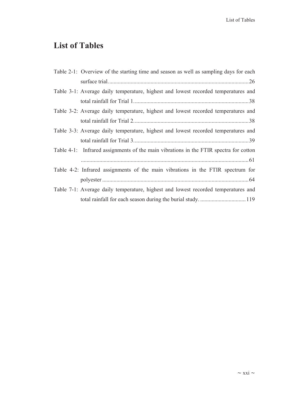# **List of Tables**

| Table 2-1: Overview of the starting time and season as well as sampling days for each |
|---------------------------------------------------------------------------------------|
|                                                                                       |
| Table 3-1: Average daily temperature, highest and lowest recorded temperatures and    |
|                                                                                       |
| Table 3-2: Average daily temperature, highest and lowest recorded temperatures and    |
|                                                                                       |
| Table 3-3: Average daily temperature, highest and lowest recorded temperatures and    |
|                                                                                       |
| Table 4-1: Infrared assignments of the main vibrations in the FTIR spectra for cotton |
|                                                                                       |
| Table 4-2: Infrared assignments of the main vibrations in the FTIR spectrum for       |
|                                                                                       |
| Table 7-1: Average daily temperature, highest and lowest recorded temperatures and    |
|                                                                                       |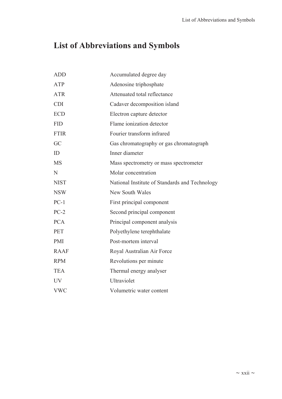# **List of Abbreviations and Symbols**

| <b>ADD</b>  | Accumulated degree day                         |
|-------------|------------------------------------------------|
| <b>ATP</b>  | Adenosine triphosphate                         |
| <b>ATR</b>  | Attenuated total reflectance                   |
| <b>CDI</b>  | Cadaver decomposition island                   |
| <b>ECD</b>  | Electron capture detector                      |
| <b>FID</b>  | Flame ionization detector                      |
| <b>FTIR</b> | Fourier transform infrared                     |
| GC          | Gas chromatography or gas chromatograph        |
| ID          | Inner diameter                                 |
| <b>MS</b>   | Mass spectrometry or mass spectrometer         |
| N           | Molar concentration                            |
| <b>NIST</b> | National Institute of Standards and Technology |
| <b>NSW</b>  | <b>New South Wales</b>                         |
| $PC-1$      | First principal component                      |
| $PC-2$      | Second principal component                     |
| <b>PCA</b>  | Principal component analysis                   |
| <b>PET</b>  | Polyethylene terephthalate                     |
| <b>PMI</b>  | Post-mortem interval                           |
| <b>RAAF</b> | Royal Australian Air Force                     |
| <b>RPM</b>  | Revolutions per minute                         |
| <b>TEA</b>  | Thermal energy analyser                        |
| <b>UV</b>   | Ultraviolet                                    |
| <b>VWC</b>  | Volumetric water content                       |